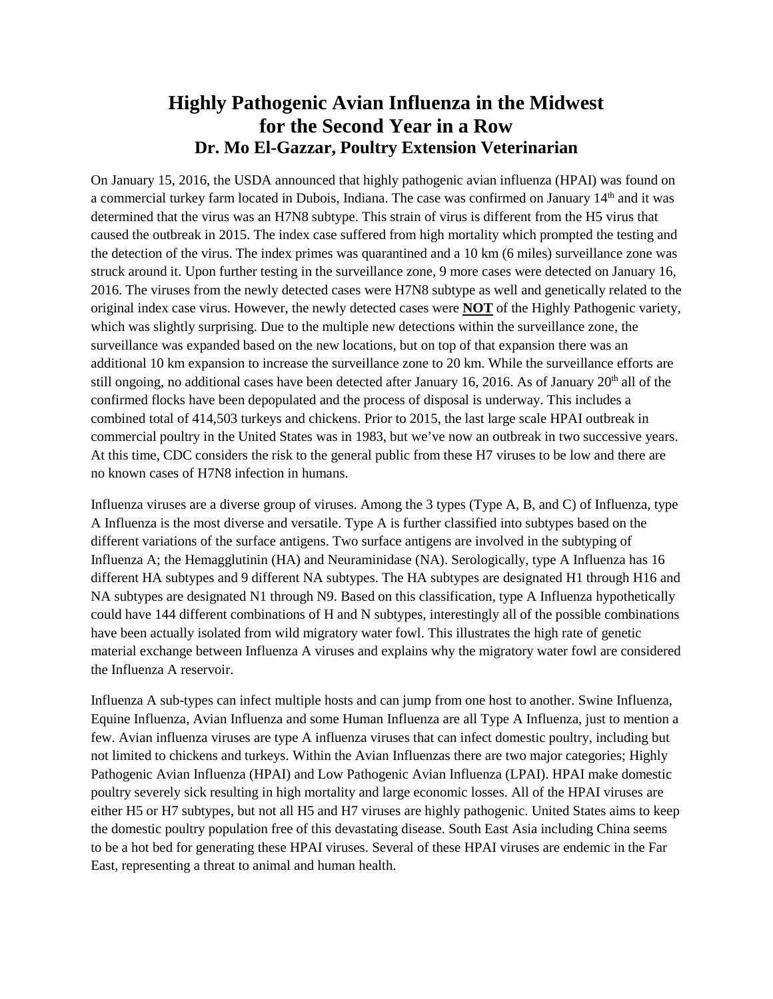## **Highly Pathogenic Avian Influenza in the Midwest for the Second Year in a Row Dr. Mo El-Gazzar, Poultry Extension Veterinarian**

On January 15, 2016, the USDA announced that highly pathogenic avian influenza (HPAI) was found on a commercial turkey farm located in Dubois, Indiana. The case was confirmed on January 14th and it was determined that the virus was an H7N8 subtype. This strain of virus is different from the H5 virus that caused the outbreak in 2015. The index case suffered from high mortality which prompted the testing and the detection of the virus. The index primes was quarantined and a 10 km (6 miles) surveillance zone was struck around it. Upon further testing in the surveillance zone, 9 more cases were detected on January 16, 2016. The viruses from the newly detected cases were H7N8 subtype as well and genetically related to the original index case virus. However, the newly detected cases were **NOT** of the Highly Pathogenic variety, which was slightly surprising. Due to the multiple new detections within the surveillance zone, the surveillance was expanded based on the new locations, but on top of that expansion there was an additional 10 km expansion to increase the surveillance zone to 20 km. While the surveillance efforts are still ongoing, no additional cases have been detected after January 16, 2016. As of January  $20<sup>th</sup>$  all of the confirmed flocks have been depopulated and the process of disposal is underway. This includes a combined total of 414,503 turkeys and chickens. Prior to 2015, the last large scale HPAI outbreak in commercial poultry in the United States was in 1983, but we've now an outbreak in two successive years. At this time, CDC considers the risk to the general public from these H7 viruses to be low and there are no known cases of H7N8 infection in humans.

Influenza viruses are a diverse group of viruses. Among the 3 types (Type A, B, and C) of Influenza, type A Influenza is the most diverse and versatile. Type A is further classified into subtypes based on the different variations of the surface antigens. Two surface antigens are involved in the subtyping of Influenza A; the Hemagglutinin (HA) and Neuraminidase (NA). Serologically, type A Influenza has 16 different HA subtypes and 9 different NA subtypes. The HA subtypes are designated H1 through H16 and NA subtypes are designated N1 through N9. Based on this classification, type A Influenza hypothetically could have 144 different combinations of H and N subtypes, interestingly all of the possible combinations have been actually isolated from wild migratory water fowl. This illustrates the high rate of genetic material exchange between Influenza A viruses and explains why the migratory water fowl are considered the Influenza A reservoir.

Influenza A sub-types can infect multiple hosts and can jump from one host to another. Swine Influenza, Equine Influenza, Avian Influenza and some Human Influenza are all Type A Influenza, just to mention a few. Avian influenza viruses are type A influenza viruses that can infect domestic poultry, including but not limited to chickens and turkeys. Within the Avian Influenzas there are two major categories; Highly Pathogenic Avian Influenza (HPAI) and Low Pathogenic Avian Influenza (LPAI). HPAI make domestic poultry severely sick resulting in high mortality and large economic losses. All of the HPAI viruses are either H5 or H7 subtypes, but not all H5 and H7 viruses are highly pathogenic. United States aims to keep the domestic poultry population free of this devastating disease. South East Asia including China seems to be a hot bed for generating these HPAI viruses. Several of these HPAI viruses are endemic in the Far East, representing a threat to animal and human health.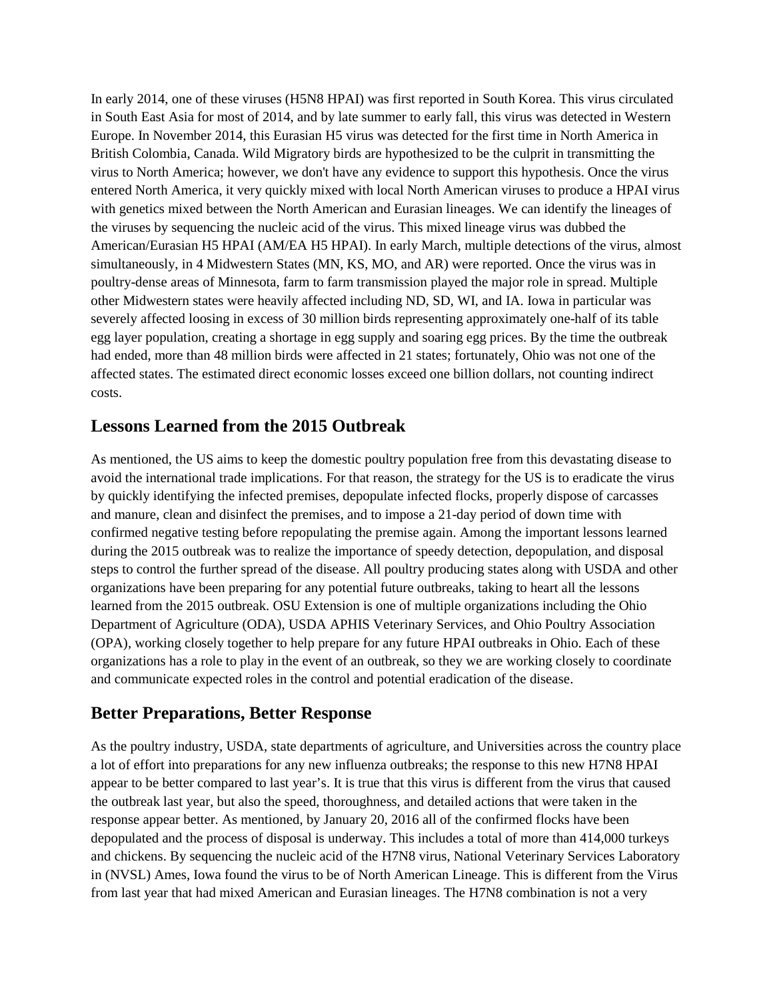In early 2014, one of these viruses (H5N8 HPAI) was first reported in South Korea. This virus circulated in South East Asia for most of 2014, and by late summer to early fall, this virus was detected in Western Europe. In November 2014, this Eurasian H5 virus was detected for the first time in North America in British Colombia, Canada. Wild Migratory birds are hypothesized to be the culprit in transmitting the virus to North America; however, we don't have any evidence to support this hypothesis. Once the virus entered North America, it very quickly mixed with local North American viruses to produce a HPAI virus with genetics mixed between the North American and Eurasian lineages. We can identify the lineages of the viruses by sequencing the nucleic acid of the virus. This mixed lineage virus was dubbed the American/Eurasian H5 HPAI (AM/EA H5 HPAI). In early March, multiple detections of the virus, almost simultaneously, in 4 Midwestern States (MN, KS, MO, and AR) were reported. Once the virus was in poultry-dense areas of Minnesota, farm to farm transmission played the major role in spread. Multiple other Midwestern states were heavily affected including ND, SD, WI, and IA. Iowa in particular was severely affected loosing in excess of 30 million birds representing approximately one-half of its table egg layer population, creating a shortage in egg supply and soaring egg prices. By the time the outbreak had ended, more than 48 million birds were affected in 21 states; fortunately, Ohio was not one of the affected states. The estimated direct economic losses exceed one billion dollars, not counting indirect costs.

## **Lessons Learned from the 2015 Outbreak**

As mentioned, the US aims to keep the domestic poultry population free from this devastating disease to avoid the international trade implications. For that reason, the strategy for the US is to eradicate the virus by quickly identifying the infected premises, depopulate infected flocks, properly dispose of carcasses and manure, clean and disinfect the premises, and to impose a 21-day period of down time with confirmed negative testing before repopulating the premise again. Among the important lessons learned during the 2015 outbreak was to realize the importance of speedy detection, depopulation, and disposal steps to control the further spread of the disease. All poultry producing states along with USDA and other organizations have been preparing for any potential future outbreaks, taking to heart all the lessons learned from the 2015 outbreak. OSU Extension is one of multiple organizations including the Ohio Department of Agriculture (ODA), USDA APHIS Veterinary Services, and Ohio Poultry Association (OPA), working closely together to help prepare for any future HPAI outbreaks in Ohio. Each of these organizations has a role to play in the event of an outbreak, so they we are working closely to coordinate and communicate expected roles in the control and potential eradication of the disease.

## **Better Preparations, Better Response**

As the poultry industry, USDA, state departments of agriculture, and Universities across the country place a lot of effort into preparations for any new influenza outbreaks; the response to this new H7N8 HPAI appear to be better compared to last year's. It is true that this virus is different from the virus that caused the outbreak last year, but also the speed, thoroughness, and detailed actions that were taken in the response appear better. As mentioned, by January 20, 2016 all of the confirmed flocks have been depopulated and the process of disposal is underway. This includes a total of more than 414,000 turkeys and chickens. By sequencing the nucleic acid of the H7N8 virus, National Veterinary Services Laboratory in (NVSL) Ames, Iowa found the virus to be of North American Lineage. This is different from the Virus from last year that had mixed American and Eurasian lineages. The H7N8 combination is not a very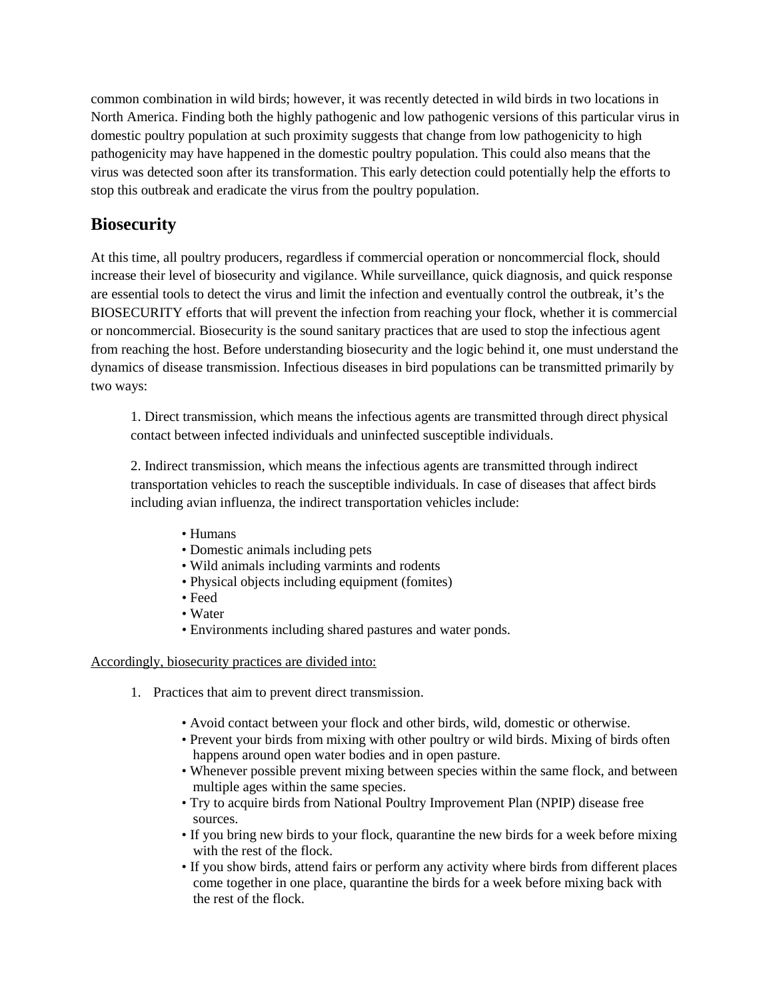common combination in wild birds; however, it was recently detected in wild birds in two locations in North America. Finding both the highly pathogenic and low pathogenic versions of this particular virus in domestic poultry population at such proximity suggests that change from low pathogenicity to high pathogenicity may have happened in the domestic poultry population. This could also means that the virus was detected soon after its transformation. This early detection could potentially help the efforts to stop this outbreak and eradicate the virus from the poultry population.

## **Biosecurity**

At this time, all poultry producers, regardless if commercial operation or noncommercial flock, should increase their level of biosecurity and vigilance. While surveillance, quick diagnosis, and quick response are essential tools to detect the virus and limit the infection and eventually control the outbreak, it's the BIOSECURITY efforts that will prevent the infection from reaching your flock, whether it is commercial or noncommercial. Biosecurity is the sound sanitary practices that are used to stop the infectious agent from reaching the host. Before understanding biosecurity and the logic behind it, one must understand the dynamics of disease transmission. Infectious diseases in bird populations can be transmitted primarily by two ways:

1. Direct transmission, which means the infectious agents are transmitted through direct physical contact between infected individuals and uninfected susceptible individuals.

2. Indirect transmission, which means the infectious agents are transmitted through indirect transportation vehicles to reach the susceptible individuals. In case of diseases that affect birds including avian influenza, the indirect transportation vehicles include:

- Humans
- Domestic animals including pets
- Wild animals including varmints and rodents
- Physical objects including equipment (fomites)
- Feed
- Water
- Environments including shared pastures and water ponds.

Accordingly, biosecurity practices are divided into:

- 1. Practices that aim to prevent direct transmission.
	- Avoid contact between your flock and other birds, wild, domestic or otherwise.
	- Prevent your birds from mixing with other poultry or wild birds. Mixing of birds often happens around open water bodies and in open pasture.
	- Whenever possible prevent mixing between species within the same flock, and between multiple ages within the same species.
	- Try to acquire birds from National Poultry Improvement Plan (NPIP) disease free sources.
	- If you bring new birds to your flock, quarantine the new birds for a week before mixing with the rest of the flock.
	- If you show birds, attend fairs or perform any activity where birds from different places come together in one place, quarantine the birds for a week before mixing back with the rest of the flock.